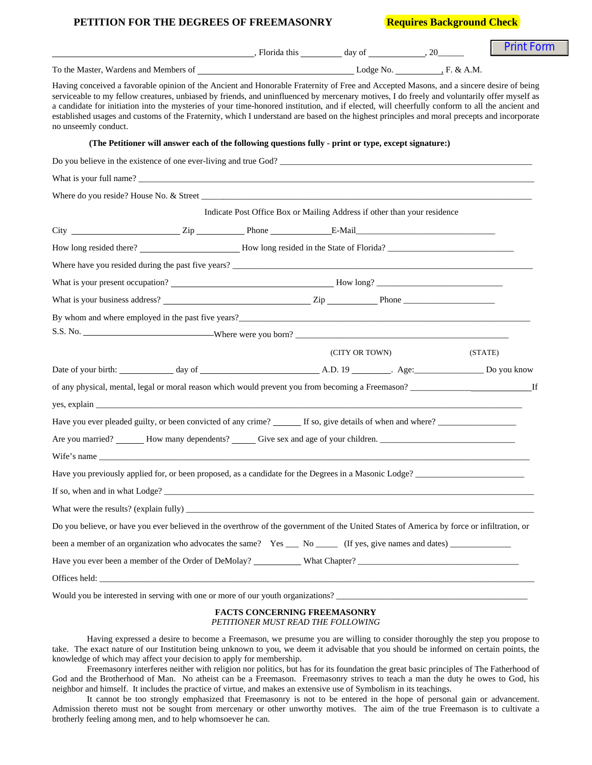## **PETITION FOR THE DEGREES OF FREEMASONRY Requires Background Check**

|                                                                                                                                                                                                                                                                                                                                                                                                                                                                                                                                                                                                                 | $\blacksquare$ , Florida this $\blacksquare$ day of $\blacksquare$ , 20  |                |         | <b>Print Form</b> |
|-----------------------------------------------------------------------------------------------------------------------------------------------------------------------------------------------------------------------------------------------------------------------------------------------------------------------------------------------------------------------------------------------------------------------------------------------------------------------------------------------------------------------------------------------------------------------------------------------------------------|--------------------------------------------------------------------------|----------------|---------|-------------------|
|                                                                                                                                                                                                                                                                                                                                                                                                                                                                                                                                                                                                                 |                                                                          |                |         |                   |
| Having conceived a favorable opinion of the Ancient and Honorable Fraternity of Free and Accepted Masons, and a sincere desire of being<br>serviceable to my fellow creatures, unbiased by friends, and uninfluenced by mercenary motives, I do freely and voluntarily offer myself as<br>a candidate for initiation into the mysteries of your time-honored institution, and if elected, will cheerfully conform to all the ancient and<br>established usages and customs of the Fraternity, which I understand are based on the highest principles and moral precepts and incorporate<br>no unseemly conduct. |                                                                          |                |         |                   |
| (The Petitioner will answer each of the following questions fully - print or type, except signature:)                                                                                                                                                                                                                                                                                                                                                                                                                                                                                                           |                                                                          |                |         |                   |
|                                                                                                                                                                                                                                                                                                                                                                                                                                                                                                                                                                                                                 |                                                                          |                |         |                   |
|                                                                                                                                                                                                                                                                                                                                                                                                                                                                                                                                                                                                                 |                                                                          |                |         |                   |
|                                                                                                                                                                                                                                                                                                                                                                                                                                                                                                                                                                                                                 |                                                                          |                |         |                   |
|                                                                                                                                                                                                                                                                                                                                                                                                                                                                                                                                                                                                                 | Indicate Post Office Box or Mailing Address if other than your residence |                |         |                   |
|                                                                                                                                                                                                                                                                                                                                                                                                                                                                                                                                                                                                                 |                                                                          |                |         |                   |
|                                                                                                                                                                                                                                                                                                                                                                                                                                                                                                                                                                                                                 |                                                                          |                |         |                   |
|                                                                                                                                                                                                                                                                                                                                                                                                                                                                                                                                                                                                                 |                                                                          |                |         |                   |
|                                                                                                                                                                                                                                                                                                                                                                                                                                                                                                                                                                                                                 |                                                                          |                |         |                   |
| What is your business address? $\frac{2}{\sqrt{2}}$ $\frac{2}{\sqrt{2}}$ $\frac{2}{\sqrt{2}}$ $\frac{2}{\sqrt{2}}$ $\frac{2}{\sqrt{2}}$ $\frac{2}{\sqrt{2}}$ $\frac{2}{\sqrt{2}}$ $\frac{2}{\sqrt{2}}$ $\frac{2}{\sqrt{2}}$ $\frac{2}{\sqrt{2}}$ $\frac{2}{\sqrt{2}}$ $\frac{2}{\sqrt{2}}$ $\frac{2}{\sqrt{2}}$ $\frac{2}{\sqrt{2}}$ $\frac{2}{\sqrt$                                                                                                                                                                                                                                                           |                                                                          |                |         |                   |
|                                                                                                                                                                                                                                                                                                                                                                                                                                                                                                                                                                                                                 |                                                                          |                |         |                   |
|                                                                                                                                                                                                                                                                                                                                                                                                                                                                                                                                                                                                                 |                                                                          |                |         |                   |
|                                                                                                                                                                                                                                                                                                                                                                                                                                                                                                                                                                                                                 |                                                                          | (CITY OR TOWN) | (STATE) |                   |
|                                                                                                                                                                                                                                                                                                                                                                                                                                                                                                                                                                                                                 |                                                                          |                |         |                   |
| of any physical, mental, legal or moral reason which would prevent you from becoming a Freemason?                                                                                                                                                                                                                                                                                                                                                                                                                                                                                                               |                                                                          |                |         |                   |
| yes, explain the contract of the contract of the contract of the contract of the contract of the contract of the contract of the contract of the contract of the contract of the contract of the contract of the contract of t                                                                                                                                                                                                                                                                                                                                                                                  |                                                                          |                |         |                   |
| Have you ever pleaded guilty, or been convicted of any crime? If so, give details of when and where?                                                                                                                                                                                                                                                                                                                                                                                                                                                                                                            |                                                                          |                |         |                   |
|                                                                                                                                                                                                                                                                                                                                                                                                                                                                                                                                                                                                                 |                                                                          |                |         |                   |
| Wife's name that the contract of the contract of the contract of the contract of the contract of the contract of the contract of the contract of the contract of the contract of the contract of the contract of the contract                                                                                                                                                                                                                                                                                                                                                                                   |                                                                          |                |         |                   |
| Have you previously applied for, or been proposed, as a candidate for the Degrees in a Masonic Lodge? _                                                                                                                                                                                                                                                                                                                                                                                                                                                                                                         |                                                                          |                |         |                   |
|                                                                                                                                                                                                                                                                                                                                                                                                                                                                                                                                                                                                                 |                                                                          |                |         |                   |
|                                                                                                                                                                                                                                                                                                                                                                                                                                                                                                                                                                                                                 |                                                                          |                |         |                   |
| Do you believe, or have you ever believed in the overthrow of the government of the United States of America by force or infiltration, or                                                                                                                                                                                                                                                                                                                                                                                                                                                                       |                                                                          |                |         |                   |
|                                                                                                                                                                                                                                                                                                                                                                                                                                                                                                                                                                                                                 |                                                                          |                |         |                   |
|                                                                                                                                                                                                                                                                                                                                                                                                                                                                                                                                                                                                                 |                                                                          |                |         |                   |
|                                                                                                                                                                                                                                                                                                                                                                                                                                                                                                                                                                                                                 |                                                                          |                |         |                   |

Would you be interested in serving with one or more of our youth organizations?

## **FACTS CONCERNING FREEMASONRY** *PETITIONER MUST READ THE FOLLOWING*

Having expressed a desire to become a Freemason, we presume you are willing to consider thoroughly the step you propose to take. The exact nature of our Institution being unknown to you, we deem it advisable that you should be informed on certain points, the knowledge of which may affect your decision to apply for membership.

 Freemasonry interferes neither with religion nor politics, but has for its foundation the great basic principles of The Fatherhood of God and the Brotherhood of Man. No atheist can be a Freemason. Freemasonry strives to teach a man the duty he owes to God, his neighbor and himself. It includes the practice of virtue, and makes an extensive use of Symbolism in its teachings.

 It cannot be too strongly emphasized that Freemasonry is not to be entered in the hope of personal gain or advancement. Admission thereto must not be sought from mercenary or other unworthy motives. The aim of the true Freemason is to cultivate a brotherly feeling among men, and to help whomsoever he can.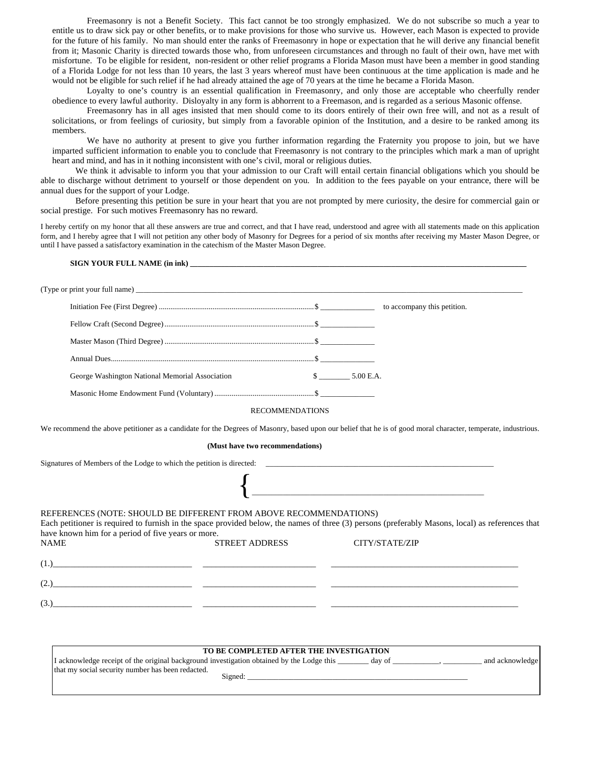Freemasonry is not a Benefit Society. This fact cannot be too strongly emphasized. We do not subscribe so much a year to entitle us to draw sick pay or other benefits, or to make provisions for those who survive us. However, each Mason is expected to provide for the future of his family. No man should enter the ranks of Freemasonry in hope or expectation that he will derive any financial benefit from it; Masonic Charity is directed towards those who, from unforeseen circumstances and through no fault of their own, have met with misfortune. To be eligible for resident, non-resident or other relief programs a Florida Mason must have been a member in good standing of a Florida Lodge for not less than 10 years, the last 3 years whereof must have been continuous at the time application is made and he would not be eligible for such relief if he had already attained the age of 70 years at the time he became a Florida Mason.

 Loyalty to one's country is an essential qualification in Freemasonry, and only those are acceptable who cheerfully render obedience to every lawful authority. Disloyalty in any form is abhorrent to a Freemason, and is regarded as a serious Masonic offense.

 Freemasonry has in all ages insisted that men should come to its doors entirely of their own free will, and not as a result of solicitations, or from feelings of curiosity, but simply from a favorable opinion of the Institution, and a desire to be ranked among its members.

 We have no authority at present to give you further information regarding the Fraternity you propose to join, but we have imparted sufficient information to enable you to conclude that Freemasonry is not contrary to the principles which mark a man of upright heart and mind, and has in it nothing inconsistent with one's civil, moral or religious duties.

 We think it advisable to inform you that your admission to our Craft will entail certain financial obligations which you should be able to discharge without detriment to yourself or those dependent on you. In addition to the fees payable on your entrance, there will be annual dues for the support of your Lodge.

 Before presenting this petition be sure in your heart that you are not prompted by mere curiosity, the desire for commercial gain or social prestige. For such motives Freemasonry has no reward.

I hereby certify on my honor that all these answers are true and correct, and that I have read, understood and agree with all statements made on this application form, and I hereby agree that I will not petition any other body of Masonry for Degrees for a period of six months after receiving my Master Mason Degree, or until I have passed a satisfactory examination in the catechism of the Master Mason Degree.

| George Washington National Memorial Association $\frac{\text{S}}{\text{S}}$ 5.00 E.A. |                                                                                                                                                                                                                                                                                                                       |
|---------------------------------------------------------------------------------------|-----------------------------------------------------------------------------------------------------------------------------------------------------------------------------------------------------------------------------------------------------------------------------------------------------------------------|
|                                                                                       |                                                                                                                                                                                                                                                                                                                       |
|                                                                                       | <b>RECOMMENDATIONS</b>                                                                                                                                                                                                                                                                                                |
|                                                                                       | We recommend the above petitioner as a candidate for the Degrees of Masonry, based upon our belief that he is of good moral character, temperate, industrious.                                                                                                                                                        |
|                                                                                       | (Must have two recommendations)                                                                                                                                                                                                                                                                                       |
|                                                                                       |                                                                                                                                                                                                                                                                                                                       |
|                                                                                       | $\overline{\mathcal{L}}$                                                                                                                                                                                                                                                                                              |
|                                                                                       |                                                                                                                                                                                                                                                                                                                       |
| REFERENCES (NOTE: SHOULD BE DIFFERENT FROM ABOVE RECOMMENDATIONS)                     | Each petitioner is required to furnish in the space provided below, the names of three (3) persons (preferably Masons, local) as references that                                                                                                                                                                      |
| have known him for a period of five years or more.<br><b>NAME</b>                     | <b>STREET ADDRESS</b><br>CITY/STATE/ZIP                                                                                                                                                                                                                                                                               |
|                                                                                       | $(1)$ $\frac{1}{2}$ $\frac{1}{2}$ $\frac{1}{2}$ $\frac{1}{2}$ $\frac{1}{2}$ $\frac{1}{2}$ $\frac{1}{2}$ $\frac{1}{2}$ $\frac{1}{2}$ $\frac{1}{2}$ $\frac{1}{2}$ $\frac{1}{2}$ $\frac{1}{2}$ $\frac{1}{2}$ $\frac{1}{2}$ $\frac{1}{2}$ $\frac{1}{2}$ $\frac{1}{2}$ $\frac{1}{2}$ $\frac{1}{2}$ $\frac{1}{2}$ $\frac{1$ |
|                                                                                       |                                                                                                                                                                                                                                                                                                                       |

| TO BE COMPLETED AFTER THE INVESTIGATION                                                             |                 |
|-----------------------------------------------------------------------------------------------------|-----------------|
| I acknowledge receipt of the original background investigation obtained by the Lodge this<br>dav of | and acknowledge |
| that my social security number has been redacted.<br>Signed:                                        |                 |
|                                                                                                     |                 |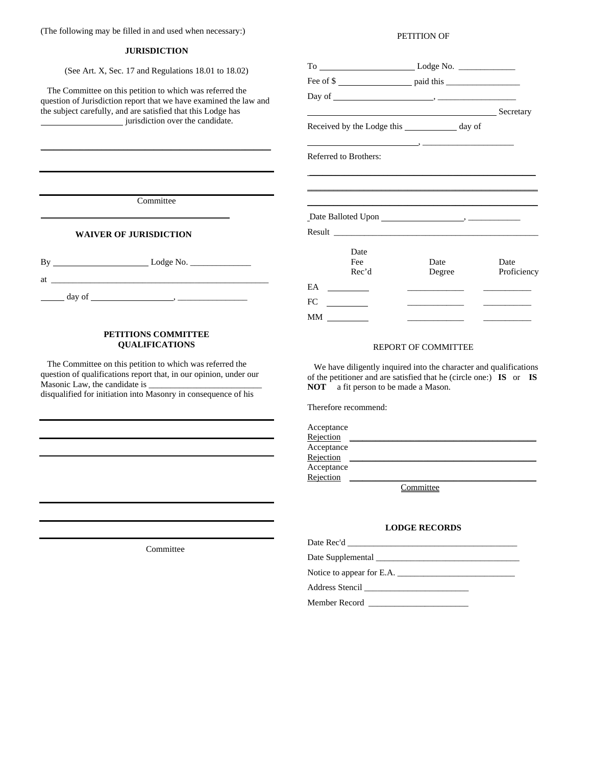(The following may be filled in and used when necessary:)

#### **JURISDICTION**

(See Art. X, Sec. 17 and Regulations 18.01 to 18.02)

 The Committee on this petition to which was referred the question of Jurisdiction report that we have examined the law and the subject carefully, and are satisfied that this Lodge has jurisdiction over the candidate.

\_\_\_\_\_\_\_\_\_\_\_\_\_\_\_\_\_\_\_\_\_\_\_\_\_\_\_\_\_\_\_\_\_\_\_\_\_\_\_\_\_\_\_\_\_\_\_\_\_\_\_\_\_

#### PETITION OF

| Fee of \$                                       |                                              |                                   |
|-------------------------------------------------|----------------------------------------------|-----------------------------------|
|                                                 |                                              |                                   |
| Secretary Secretary                             |                                              |                                   |
| Received by the Lodge this _____________ day of |                                              |                                   |
| Referred to Brothers:                           |                                              |                                   |
|                                                 |                                              |                                   |
|                                                 |                                              |                                   |
|                                                 |                                              |                                   |
|                                                 |                                              |                                   |
| Date<br>Fee<br>Rec'd                            | Date<br>Degree                               | Date<br>Proficiency               |
| EA<br>$\overline{\phantom{a}}$                  | the control of the control of the control of |                                   |
| FC.<br>$\frac{1}{2}$ and $\frac{1}{2}$          | the control of the control of the control of | the control of the control of the |
| MМ                                              |                                              |                                   |

### REPORT OF COMMITTEE

 We have diligently inquired into the character and qualifications of the petitioner and are satisfied that he (circle one:) **IS** or **IS NOT** a fit person to be made a Mason.

Therefore recommend:

| Acceptance |                             |
|------------|-----------------------------|
| Rejection  |                             |
| Acceptance |                             |
| Rejection  |                             |
| Acceptance |                             |
| Rejection  |                             |
|            | $C_{\text{max}}$ is the set |

**Committee** 

## **LODGE RECORDS**

| Date Rec'd                                                                                                                                                                                                                           |
|--------------------------------------------------------------------------------------------------------------------------------------------------------------------------------------------------------------------------------------|
|                                                                                                                                                                                                                                      |
| Notice to appear for E.A.                                                                                                                                                                                                            |
| Address Stencil <u>and the state of the state of the state of the state of the state of the state of the state of the state of the state of the state of the state of the state of the state of the state of the state of the st</u> |
| Member Record                                                                                                                                                                                                                        |

**Committee** 

## **WAIVER OF JURISDICTION**

 $\overline{a}$ 

| B١ |        | Lodge No. |  |
|----|--------|-----------|--|
| at |        |           |  |
|    | day of |           |  |

## **PETITIONS COMMITTEE QUALIFICATIONS**

 The Committee on this petition to which was referred the question of qualifications report that, in our opinion, under our Masonic Law, the candidate is \_\_\_\_\_\_\_\_\_\_\_\_\_\_\_\_\_\_\_\_\_\_\_\_\_\_ disqualified for initiation into Masonry in consequence of his

Committee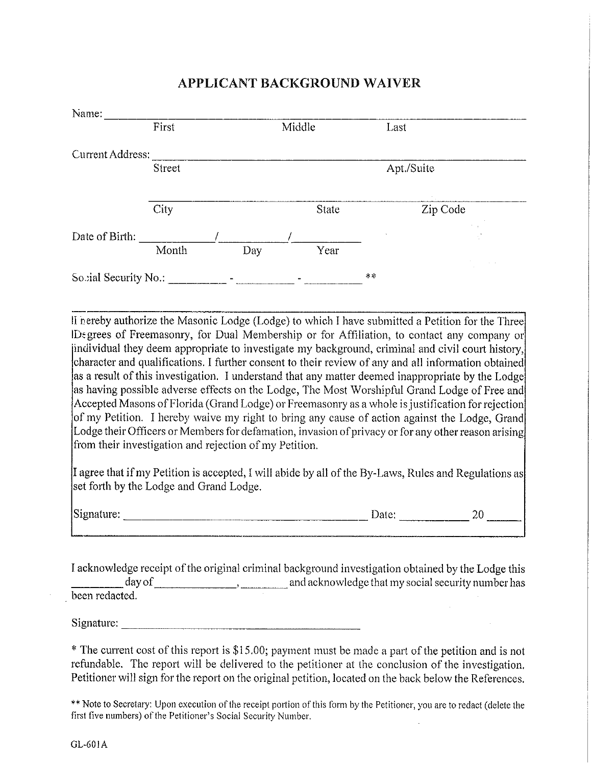| Name:                |        |            |        |                    |          |
|----------------------|--------|------------|--------|--------------------|----------|
|                      | First  |            | Middle | Last               |          |
| Current Address:     |        |            |        |                    |          |
|                      | Street |            |        | Apt./Suite         |          |
|                      | City   |            | State  |                    | Zip Code |
| Date of Birth:       |        |            |        | $\sim$             |          |
|                      | Month  | <b>Day</b> | Year   |                    |          |
| Sobial Security No.: |        |            |        | $\propto$ $\times$ |          |

## APPLICANT BACKGROUND WAIVER

II nereby authorize the Masonic Lodge (Lodge) to which I have submitted a Petition for the Three IDegrees of Freemasonry, for Dual Membership or for Affiliation, to contact any company or [individual they deem appropriate to investigate my background, criminal and civil court history, character and qualifications. I further consent to their review of any and all information obtained as a result of this investigation. I understand that any matter deemed inappropriate by the Lodge as having possible adverse effects on the Lodge, The Most Worshipful Grand Lodge of Free and Accepted Masons of Florida (Grand Lodge) or Freemasonry as a whole is justification for rejection of my Petition. I hereby waive my right to bring any cause of action against the Lodge, Grand Lodge their Officers or Members for defamation, invasion of privacy or for any other reason arising from their investigation and rejection of my Petition.

I agree that if my Petition is accepted, I will abide by all of the By-Laws, Rules and Regulations as set forth by the Lodge and Grand Lodge.

Signature: 20

I acknowledge receipt of the original criminal background investigation obtained by the Lodge this been redacted.

\* The current cost of this report is \$15.00; payment must be made a part of the petition and is not refundable. The report will be delivered to the petitioner at the conclusion of the investigation. Petitioner will sign for the report on the original petition, located on the back below the References.

\*\* Note to Secretary; Upon execution of the receipt portion of this form by the Petitioner, you are to redact (delete the first five numbers) of the Petitioner's Social Security Number.